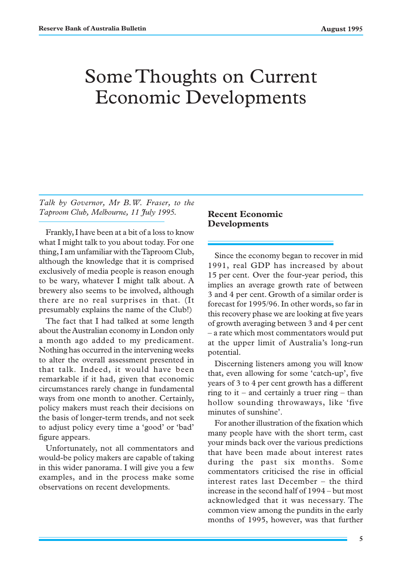## Some Thoughts on Current Economic Developments

*Talk by Governor, Mr B.W. Fraser, to the Taproom Club, Melbourne, 11 July 1995.*

Frankly, I have been at a bit of a loss to know what I might talk to you about today. For one thing, I am unfamiliar with the Taproom Club, although the knowledge that it is comprised exclusively of media people is reason enough to be wary, whatever I might talk about. A brewery also seems to be involved, although there are no real surprises in that. (It presumably explains the name of the Club!)

The fact that I had talked at some length about the Australian economy in London only a month ago added to my predicament. Nothing has occurred in the intervening weeks to alter the overall assessment presented in that talk. Indeed, it would have been remarkable if it had, given that economic circumstances rarely change in fundamental ways from one month to another. Certainly, policy makers must reach their decisions on the basis of longer-term trends, and not seek to adjust policy every time a 'good' or 'bad' figure appears.

Unfortunately, not all commentators and would-be policy makers are capable of taking in this wider panorama. I will give you a few examples, and in the process make some observations on recent developments.

## **Recent Economic Developments**

Since the economy began to recover in mid 1991, real GDP has increased by about 15 per cent. Over the four-year period, this implies an average growth rate of between 3 and 4 per cent. Growth of a similar order is forecast for 1995/96. In other words, so far in this recovery phase we are looking at five years of growth averaging between 3 and 4 per cent – a rate which most commentators would put at the upper limit of Australia's long-run potential.

Discerning listeners among you will know that, even allowing for some 'catch-up', five years of 3 to 4 per cent growth has a different ring to it – and certainly a truer ring – than hollow sounding throwaways, like 'five minutes of sunshine'.

For another illustration of the fixation which many people have with the short term, cast your minds back over the various predictions that have been made about interest rates during the past six months. Some commentators criticised the rise in official interest rates last December – the third increase in the second half of 1994 – but most acknowledged that it was necessary. The common view among the pundits in the early months of 1995, however, was that further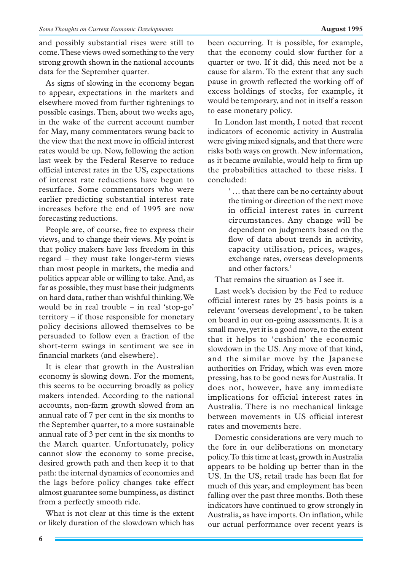and possibly substantial rises were still to come. These views owed something to the very strong growth shown in the national accounts data for the September quarter.

As signs of slowing in the economy began to appear, expectations in the markets and elsewhere moved from further tightenings to possible easings. Then, about two weeks ago, in the wake of the current account number for May, many commentators swung back to the view that the next move in official interest rates would be up. Now, following the action last week by the Federal Reserve to reduce official interest rates in the US, expectations of interest rate reductions have begun to resurface. Some commentators who were earlier predicting substantial interest rate increases before the end of 1995 are now forecasting reductions.

People are, of course, free to express their views, and to change their views. My point is that policy makers have less freedom in this regard – they must take longer-term views than most people in markets, the media and politics appear able or willing to take. And, as far as possible, they must base their judgments on hard data, rather than wishful thinking. We would be in real trouble – in real 'stop-go' territory – if those responsible for monetary policy decisions allowed themselves to be persuaded to follow even a fraction of the short-term swings in sentiment we see in financial markets (and elsewhere).

It is clear that growth in the Australian economy is slowing down. For the moment, this seems to be occurring broadly as policy makers intended. According to the national accounts, non-farm growth slowed from an annual rate of 7 per cent in the six months to the September quarter, to a more sustainable annual rate of 3 per cent in the six months to the March quarter. Unfortunately, policy cannot slow the economy to some precise, desired growth path and then keep it to that path: the internal dynamics of economies and the lags before policy changes take effect almost guarantee some bumpiness, as distinct from a perfectly smooth ride.

What is not clear at this time is the extent or likely duration of the slowdown which has

been occurring. It is possible, for example, that the economy could slow further for a quarter or two. If it did, this need not be a cause for alarm. To the extent that any such pause in growth reflected the working off of excess holdings of stocks, for example, it would be temporary, and not in itself a reason to ease monetary policy.

In London last month, I noted that recent indicators of economic activity in Australia were giving mixed signals, and that there were risks both ways on growth. New information, as it became available, would help to firm up the probabilities attached to these risks. I concluded:

> ' … that there can be no certainty about the timing or direction of the next move in official interest rates in current circumstances. Any change will be dependent on judgments based on the flow of data about trends in activity, capacity utilisation, prices, wages, exchange rates, overseas developments and other factors.'

That remains the situation as I see it.

Last week's decision by the Fed to reduce official interest rates by 25 basis points is a relevant 'overseas development', to be taken on board in our on-going assessments. It is a small move, yet it is a good move, to the extent that it helps to 'cushion' the economic slowdown in the US. Any move of that kind, and the similar move by the Japanese authorities on Friday, which was even more pressing, has to be good news for Australia. It does not, however, have any immediate implications for official interest rates in Australia. There is no mechanical linkage between movements in US official interest rates and movements here.

Domestic considerations are very much to the fore in our deliberations on monetary policy. To this time at least, growth in Australia appears to be holding up better than in the US. In the US, retail trade has been flat for much of this year, and employment has been falling over the past three months. Both these indicators have continued to grow strongly in Australia, as have imports. On inflation, while our actual performance over recent years is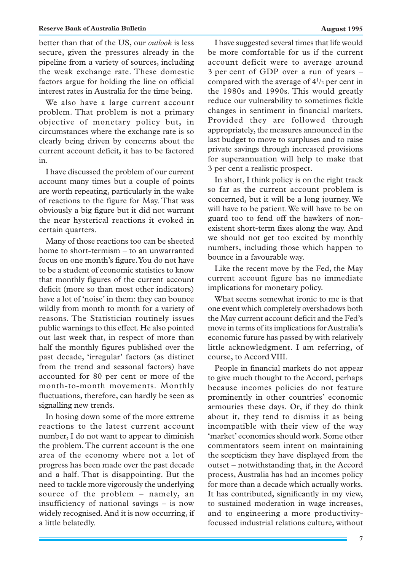better than that of the US, our *outlook* is less secure, given the pressures already in the pipeline from a variety of sources, including the weak exchange rate. These domestic factors argue for holding the line on official interest rates in Australia for the time being.

We also have a large current account problem. That problem is not a primary objective of monetary policy but, in circumstances where the exchange rate is so clearly being driven by concerns about the current account deficit, it has to be factored in.

I have discussed the problem of our current account many times but a couple of points are worth repeating, particularly in the wake of reactions to the figure for May. That was obviously a big figure but it did not warrant the near hysterical reactions it evoked in certain quarters.

Many of those reactions too can be sheeted home to short-termism – to an unwarranted focus on one month's figure. You do not have to be a student of economic statistics to know that monthly figures of the current account deficit (more so than most other indicators) have a lot of 'noise' in them: they can bounce wildly from month to month for a variety of reasons. The Statistician routinely issues public warnings to this effect. He also pointed out last week that, in respect of more than half the monthly figures published over the past decade, 'irregular' factors (as distinct from the trend and seasonal factors) have accounted for 80 per cent or more of the month-to-month movements. Monthly fluctuations, therefore, can hardly be seen as signalling new trends.

In hosing down some of the more extreme reactions to the latest current account number, I do not want to appear to diminish the problem. The current account is the one area of the economy where not a lot of progress has been made over the past decade and a half. That is disappointing. But the need to tackle more vigorously the underlying source of the problem – namely, an insufficiency of national savings – is now widely recognised. And it is now occurring, if a little belatedly.

I have suggested several times that life would be more comfortable for us if the current account deficit were to average around 3 per cent of GDP over a run of years – compared with the average of  $4^{1/2}$  per cent in the 1980s and 1990s. This would greatly reduce our vulnerability to sometimes fickle changes in sentiment in financial markets. Provided they are followed through appropriately, the measures announced in the last budget to move to surpluses and to raise private savings through increased provisions for superannuation will help to make that 3 per cent a realistic prospect.

In short, I think policy is on the right track so far as the current account problem is concerned, but it will be a long journey. We will have to be patient. We will have to be on guard too to fend off the hawkers of nonexistent short-term fixes along the way. And we should not get too excited by monthly numbers, including those which happen to bounce in a favourable way.

Like the recent move by the Fed, the May current account figure has no immediate implications for monetary policy.

What seems somewhat ironic to me is that one event which completely overshadows both the May current account deficit and the Fed's move in terms of its implications for Australia's economic future has passed by with relatively little acknowledgment. I am referring, of course, to Accord VIII.

People in financial markets do not appear to give much thought to the Accord, perhaps because incomes policies do not feature prominently in other countries' economic armouries these days. Or, if they do think about it, they tend to dismiss it as being incompatible with their view of the way 'market' economies should work. Some other commentators seem intent on maintaining the scepticism they have displayed from the outset – notwithstanding that, in the Accord process, Australia has had an incomes policy for more than a decade which actually works. It has contributed, significantly in my view, to sustained moderation in wage increases, and to engineering a more productivityfocussed industrial relations culture, without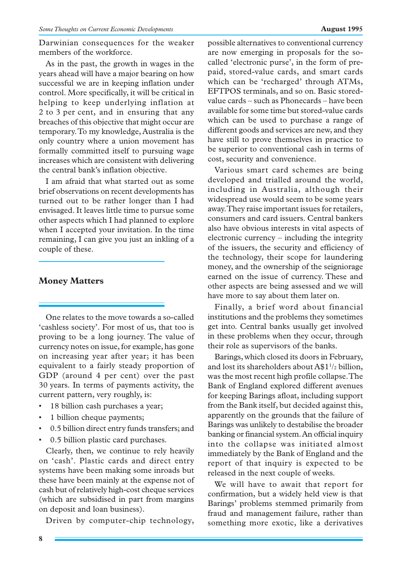Darwinian consequences for the weaker members of the workforce.

As in the past, the growth in wages in the years ahead will have a major bearing on how successful we are in keeping inflation under control. More specifically, it will be critical in helping to keep underlying inflation at 2 to 3 per cent, and in ensuring that any breaches of this objective that might occur are temporary. To my knowledge, Australia is the only country where a union movement has formally committed itself to pursuing wage increases which are consistent with delivering the central bank's inflation objective.

I am afraid that what started out as some brief observations on recent developments has turned out to be rather longer than I had envisaged. It leaves little time to pursue some other aspects which I had planned to explore when I accepted your invitation. In the time remaining, I can give you just an inkling of a couple of these.

## **Money Matters**

One relates to the move towards a so-called 'cashless society'. For most of us, that too is proving to be a long journey. The value of currency notes on issue, for example, has gone on increasing year after year; it has been equivalent to a fairly steady proportion of GDP (around 4 per cent) over the past 30 years. In terms of payments activity, the current pattern, very roughly, is:

- 18 billion cash purchases a year;
- 1 billion cheque payments;
- 0.5 billion direct entry funds transfers; and
- 0.5 billion plastic card purchases.

Clearly, then, we continue to rely heavily on 'cash'. Plastic cards and direct entry systems have been making some inroads but these have been mainly at the expense not of cash but of relatively high-cost cheque services (which are subsidised in part from margins on deposit and loan business).

Driven by computer-chip technology,

**8**

possible alternatives to conventional currency are now emerging in proposals for the socalled 'electronic purse', in the form of prepaid, stored-value cards, and smart cards which can be 'recharged' through ATMs, EFTPOS terminals, and so on. Basic storedvalue cards – such as Phonecards – have been available for some time but stored-value cards which can be used to purchase a range of different goods and services are new, and they have still to prove themselves in practice to be superior to conventional cash in terms of cost, security and convenience.

Various smart card schemes are being developed and trialled around the world, including in Australia, although their widespread use would seem to be some years away. They raise important issues for retailers, consumers and card issuers. Central bankers also have obvious interests in vital aspects of electronic currency – including the integrity of the issuers, the security and efficiency of the technology, their scope for laundering money, and the ownership of the seigniorage earned on the issue of currency. These and other aspects are being assessed and we will have more to say about them later on.

Finally, a brief word about financial institutions and the problems they sometimes get into. Central banks usually get involved in these problems when they occur, through their role as supervisors of the banks.

Barings, which closed its doors in February, and lost its shareholders about  $A$1<sup>1</sup>/2$  billion, was the most recent high profile collapse. The Bank of England explored different avenues for keeping Barings afloat, including support from the Bank itself, but decided against this, apparently on the grounds that the failure of Barings was unlikely to destabilise the broader banking or financial system. An official inquiry into the collapse was initiated almost immediately by the Bank of England and the report of that inquiry is expected to be released in the next couple of weeks.

We will have to await that report for confirmation, but a widely held view is that Barings' problems stemmed primarily from fraud and management failure, rather than something more exotic, like a derivatives